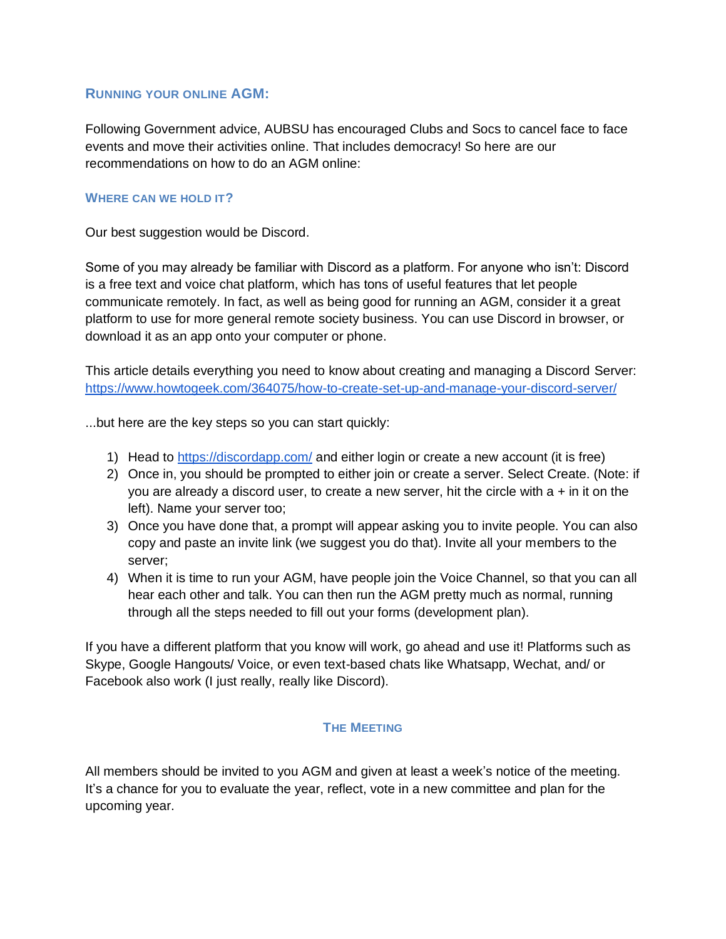### **RUNNING YOUR ONLINE AGM:**

Following Government advice, AUBSU has encouraged Clubs and Socs to cancel face to face events and move their activities online. That includes democracy! So here are our recommendations on how to do an AGM online:

## **WHERE CAN WE HOLD IT?**

Our best suggestion would be Discord.

Some of you may already be familiar with Discord as a platform. For anyone who isn't: Discord is a free text and voice chat platform, which has tons of useful features that let people communicate remotely. In fact, as well as being good for running an AGM, consider it a great platform to use for more general remote society business. You can use Discord in browser, or download it as an app onto your computer or phone.

This article details everything you need to know about creating and managing a Discord Server: <https://www.howtogeek.com/364075/how-to-create-set-up-and-manage-your-discord-server/>

...but here are the key steps so you can start quickly:

- 1) Head to<https://discordapp.com/> and either login or create a new account (it is free)
- 2) Once in, you should be prompted to either join or create a server. Select Create. (Note: if you are already a discord user, to create a new server, hit the circle with  $a + in$  it on the left). Name your server too;
- 3) Once you have done that, a prompt will appear asking you to invite people. You can also copy and paste an invite link (we suggest you do that). Invite all your members to the server;
- 4) When it is time to run your AGM, have people join the Voice Channel, so that you can all hear each other and talk. You can then run the AGM pretty much as normal, running through all the steps needed to fill out your forms (development plan).

If you have a different platform that you know will work, go ahead and use it! Platforms such as Skype, Google Hangouts/ Voice, or even text-based chats like Whatsapp, Wechat, and/ or Facebook also work (I just really, really like Discord).

# **THE MEETING**

All members should be invited to you AGM and given at least a week's notice of the meeting. It's a chance for you to evaluate the year, reflect, vote in a new committee and plan for the upcoming year.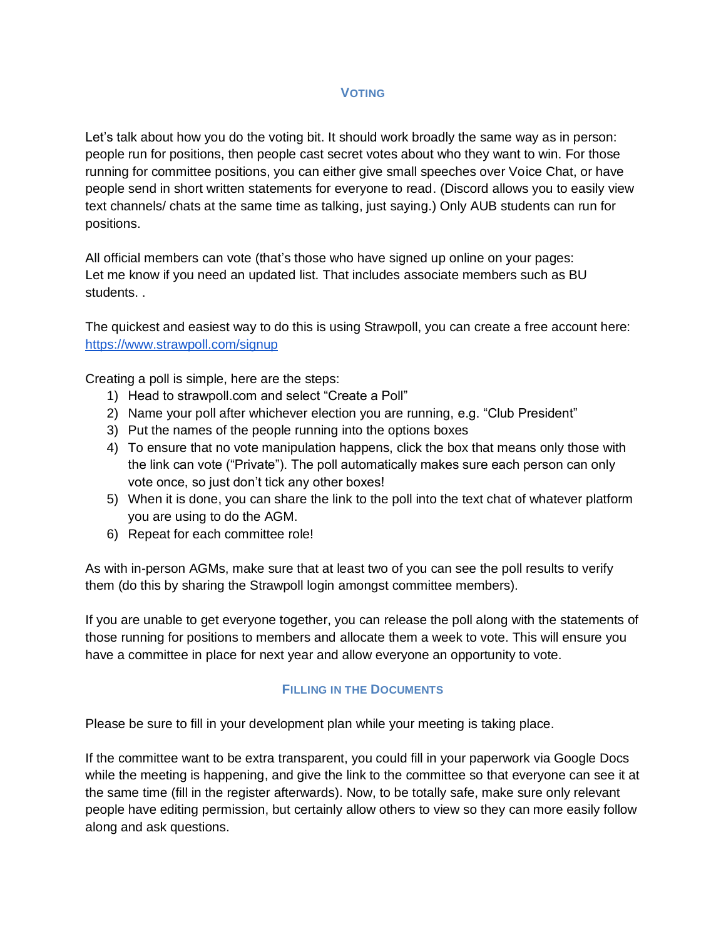### **VOTING**

Let's talk about how you do the voting bit. It should work broadly the same way as in person: people run for positions, then people cast secret votes about who they want to win. For those running for committee positions, you can either give small speeches over Voice Chat, or have people send in short written statements for everyone to read. (Discord allows you to easily view text channels/ chats at the same time as talking, just saying.) Only AUB students can run for positions.

All official members can vote (that's those who have signed up online on your pages: Let me know if you need an updated list. That includes associate members such as BU students. .

The quickest and easiest way to do this is using Strawpoll, you can create a free account here: <https://www.strawpoll.com/signup>

Creating a poll is simple, here are the steps:

- 1) Head to strawpoll.com and select "Create a Poll"
- 2) Name your poll after whichever election you are running, e.g. "Club President"
- 3) Put the names of the people running into the options boxes
- 4) To ensure that no vote manipulation happens, click the box that means only those with the link can vote ("Private"). The poll automatically makes sure each person can only vote once, so just don't tick any other boxes!
- 5) When it is done, you can share the link to the poll into the text chat of whatever platform you are using to do the AGM.
- 6) Repeat for each committee role!

As with in-person AGMs, make sure that at least two of you can see the poll results to verify them (do this by sharing the Strawpoll login amongst committee members).

If you are unable to get everyone together, you can release the poll along with the statements of those running for positions to members and allocate them a week to vote. This will ensure you have a committee in place for next year and allow everyone an opportunity to vote.

#### **FILLING IN THE DOCUMENTS**

Please be sure to fill in your development plan while your meeting is taking place.

If the committee want to be extra transparent, you could fill in your paperwork via Google Docs while the meeting is happening, and give the link to the committee so that everyone can see it at the same time (fill in the register afterwards). Now, to be totally safe, make sure only relevant people have editing permission, but certainly allow others to view so they can more easily follow along and ask questions.